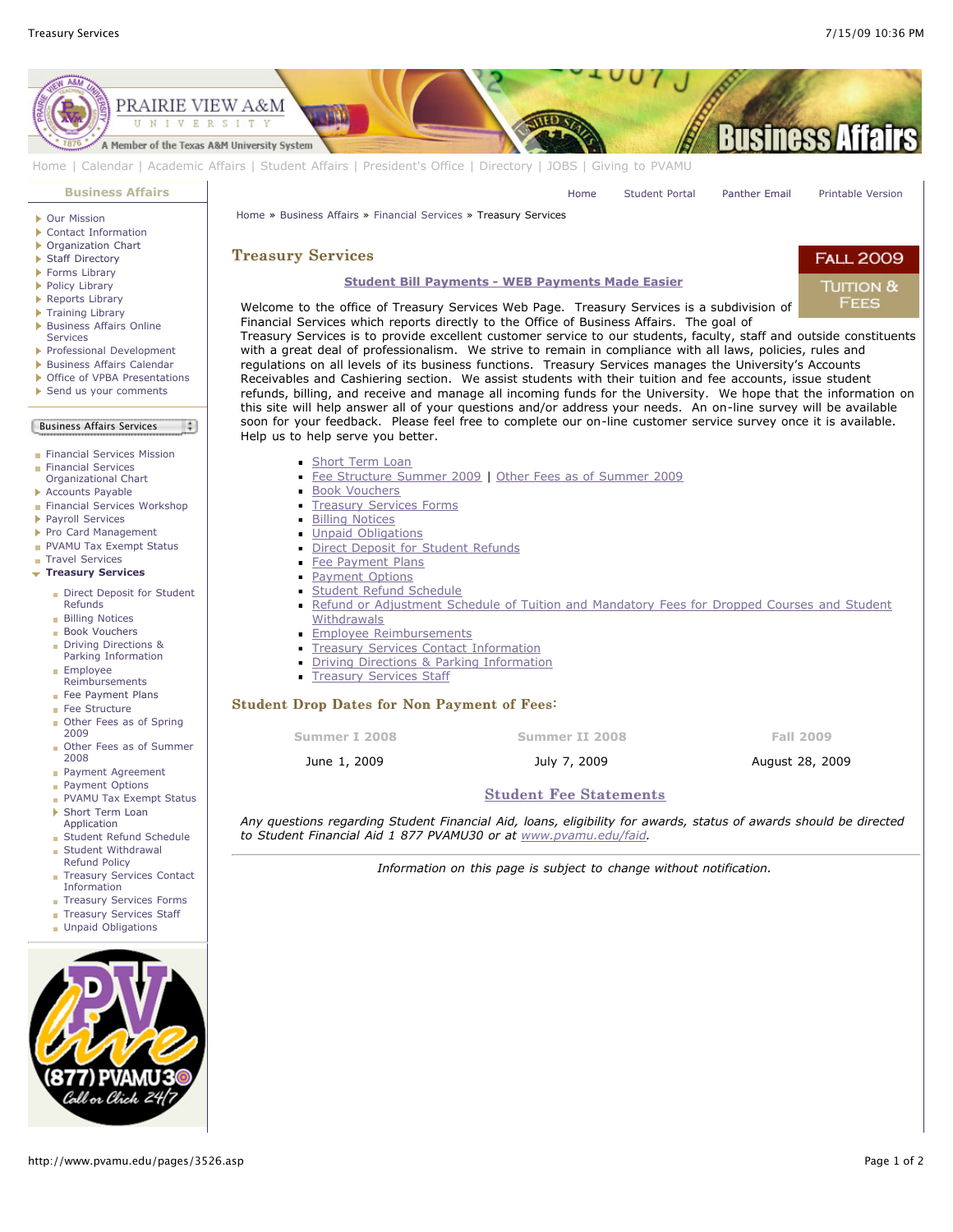

*to Student Financial Aid 1 877 PVAMU30 or at [www.pvamu.edu/faid](http://pvamu.edu/faid).*

*Information on this page is subject to change without notification.*

Application [Student Refund Schedule](http://www.pvamu.edu/pages/3533.asp)

- [Student Withdrawal](http://www.pvamu.edu/pages/3529.asp) Refund Policy
- [Treasury Services Contact](http://www.pvamu.edu/pages/3532.asp) Information
- [Treasury Services Forms](http://www.pvamu.edu/pages/4261.asp)
- [Treasury Services Staff](http://www.pvamu.edu/pages/3531.asp)
- **[Unpaid Obligations](http://www.pvamu.edu/pages/4170.asp)**